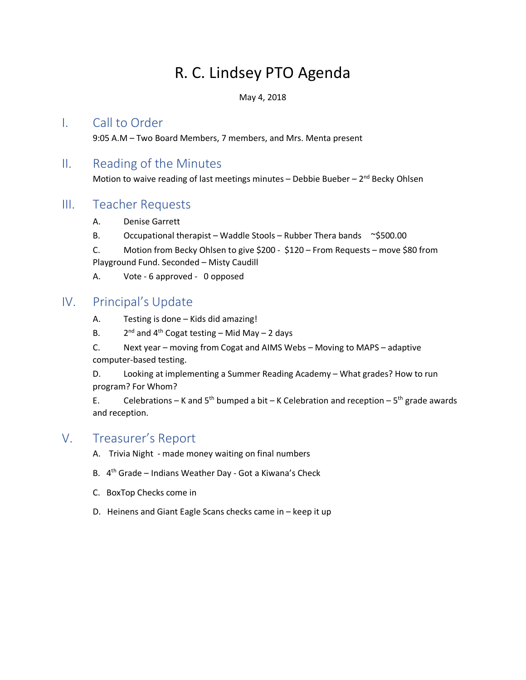# R. C. Lindsey PTO Agenda

May 4, 2018

#### I. Call to Order

9:05 A.M – Two Board Members, 7 members, and Mrs. Menta present

## II. Reading of the Minutes

Motion to waive reading of last meetings minutes - Debbie Bueber -  $2<sup>nd</sup>$  Becky Ohlsen

## III. Teacher Requests

- A. Denise Garrett
- B. Occupational therapist Waddle Stools Rubber Thera bands  $\sim$ \$500.00

C. Motion from Becky Ohlsen to give \$200 - \$120 – From Requests – move \$80 from Playground Fund. Seconded – Misty Caudill

A. Vote - 6 approved - 0 opposed

# IV. Principal's Update

- A. Testing is done Kids did amazing!
- B.  $2^{nd}$  and 4<sup>th</sup> Cogat testing Mid May 2 days

C. Next year – moving from Cogat and AIMS Webs – Moving to MAPS – adaptive computer-based testing.

D. Looking at implementing a Summer Reading Academy – What grades? How to run program? For Whom?

E. Celebrations – K and  $5<sup>th</sup>$  bumped a bit – K Celebration and reception –  $5<sup>th</sup>$  grade awards and reception.

# V. Treasurer's Report

- A. Trivia Night made money waiting on final numbers
- B. 4th Grade Indians Weather Day Got a Kiwana's Check
- C. BoxTop Checks come in
- D. Heinens and Giant Eagle Scans checks came in keep it up